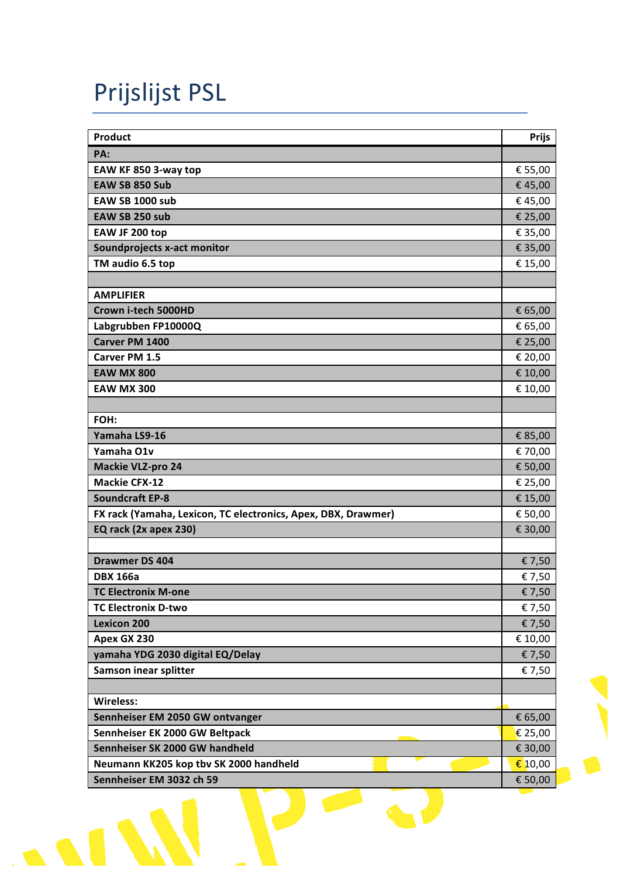## Prijslijst PSL

| Product                                                       | <b>Prijs</b>     |
|---------------------------------------------------------------|------------------|
| PA:                                                           |                  |
| EAW KF 850 3-way top                                          | € 55,00          |
| EAW SB 850 Sub                                                | €45,00           |
| <b>EAW SB 1000 sub</b>                                        | €45,00           |
| EAW SB 250 sub                                                | € 25,00          |
| EAW JF 200 top                                                | € 35,00          |
| Soundprojects x-act monitor                                   | € 35,00          |
| TM audio 6.5 top                                              | € 15,00          |
|                                                               |                  |
| <b>AMPLIFIER</b>                                              |                  |
| Crown i-tech 5000HD                                           | € 65,00          |
| Labgrubben FP10000Q                                           | € 65,00          |
| Carver PM 1400                                                | € 25,00          |
| Carver PM 1.5                                                 | € 20,00          |
| <b>EAW MX 800</b>                                             | € 10,00          |
| <b>EAW MX 300</b>                                             | € 10,00          |
|                                                               |                  |
| FOH:                                                          |                  |
| Yamaha LS9-16                                                 | € 85,00          |
| Yamaha O1v                                                    | € 70,00          |
| <b>Mackie VLZ-pro 24</b>                                      | € 50,00          |
| <b>Mackie CFX-12</b>                                          | € 25,00          |
| <b>Soundcraft EP-8</b>                                        | € 15,00          |
| FX rack (Yamaha, Lexicon, TC electronics, Apex, DBX, Drawmer) | € 50,00          |
| EQ rack (2x apex 230)                                         | € 30,00          |
|                                                               |                  |
| <b>Drawmer DS 404</b>                                         | € 7,50           |
| <b>DBX 166a</b>                                               | € 7,50           |
| <b>TC Electronix M-one</b>                                    | € 7,50           |
| <b>TC Electronix D-two</b>                                    | € 7,50           |
| <b>Lexicon 200</b>                                            | € 7,50           |
| Apex GX 230                                                   | € 10,00          |
| yamaha YDG 2030 digital EQ/Delay                              | € 7,50           |
| Samson inear splitter                                         | € 7,50           |
| <b>Wireless:</b>                                              |                  |
| Sennheiser EM 2050 GW ontvanger                               | € 65,00          |
| Sennheiser EK 2000 GW Beltpack                                | € 25,00          |
| Sennheiser SK 2000 GW handheld                                | € 30,00          |
| Neumann KK205 kop tbv SK 2000 handheld                        | $\epsilon$ 10,00 |
| Sennheiser EM 3032 ch 59                                      | € 50,00          |
|                                                               |                  |
|                                                               |                  |

I P

 $\blacksquare$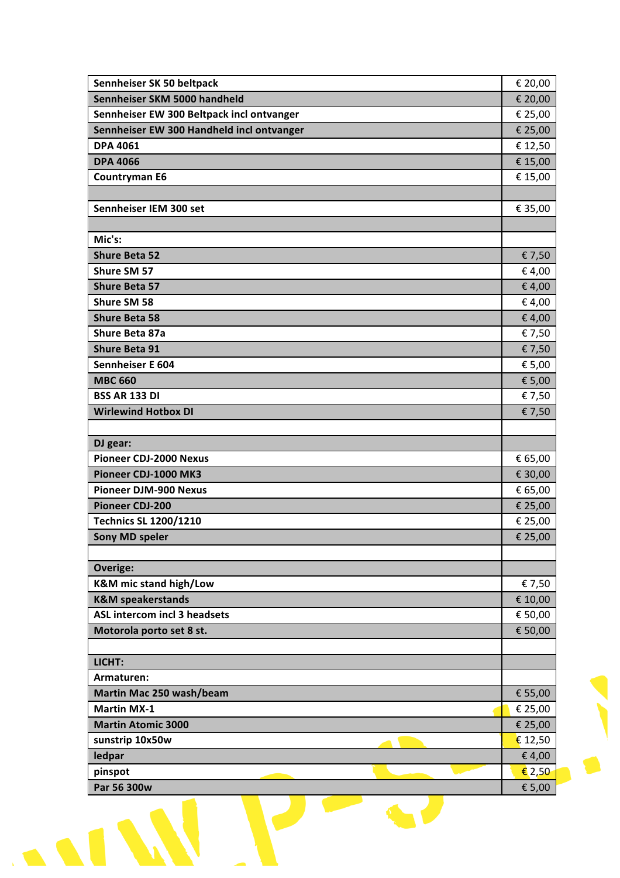|                                                                   | € 20,00           |
|-------------------------------------------------------------------|-------------------|
| Sennheiser SKM 5000 handheld                                      | € 20,00           |
| Sennheiser EW 300 Beltpack incl ontvanger                         | € 25,00           |
| Sennheiser EW 300 Handheld incl ontvanger                         | € 25,00           |
| <b>DPA 4061</b>                                                   | € 12,50           |
| <b>DPA 4066</b>                                                   | € 15,00           |
| <b>Countryman E6</b>                                              | € 15,00           |
|                                                                   |                   |
| Sennheiser IEM 300 set                                            | € 35,00           |
|                                                                   |                   |
| Mic's:                                                            |                   |
| <b>Shure Beta 52</b>                                              | € 7,50            |
| Shure SM 57                                                       | € 4,00            |
| <b>Shure Beta 57</b>                                              | € 4,00            |
| Shure SM 58                                                       | € 4,00            |
| <b>Shure Beta 58</b>                                              | € 4,00            |
| Shure Beta 87a                                                    | € 7,50            |
| <b>Shure Beta 91</b>                                              | € 7,50            |
| Sennheiser E 604                                                  | € 5,00            |
| <b>MBC 660</b>                                                    | € 5,00            |
| <b>BSS AR 133 DI</b>                                              | € 7,50            |
| <b>Wirlewind Hotbox DI</b>                                        | € 7,50            |
|                                                                   |                   |
| DJ gear:                                                          |                   |
| <b>Pioneer CDJ-2000 Nexus</b>                                     | € 65,00           |
| Pioneer CDJ-1000 MK3                                              | € 30,00           |
| <b>Pioneer DJM-900 Nexus</b>                                      | € 65,00           |
| <b>Pioneer CDJ-200</b>                                            | € 25,00           |
| <b>Technics SL 1200/1210</b>                                      | € 25,00           |
| <b>Sony MD speler</b>                                             | € 25,00           |
|                                                                   |                   |
| <b>Overige:</b>                                                   |                   |
| <b>K&amp;M</b> mic stand high/Low<br><b>K&amp;M</b> speakerstands | € 7,50<br>€ 10,00 |
| <b>ASL intercom incl 3 headsets</b>                               | € 50,00           |
| Motorola porto set 8 st.                                          | € 50,00           |
|                                                                   |                   |
| LICHT:                                                            |                   |
| Armaturen:                                                        |                   |
| Martin Mac 250 wash/beam                                          | € 55,00           |
| <b>Martin MX-1</b>                                                | € 25,00           |
|                                                                   | € 25,00           |
|                                                                   |                   |
|                                                                   |                   |
| <b>Martin Atomic 3000</b><br>sunstrip 10x50w                      | € 12,50           |
| ledpar<br>pinspot                                                 | € 4,00<br>€ 2,50  |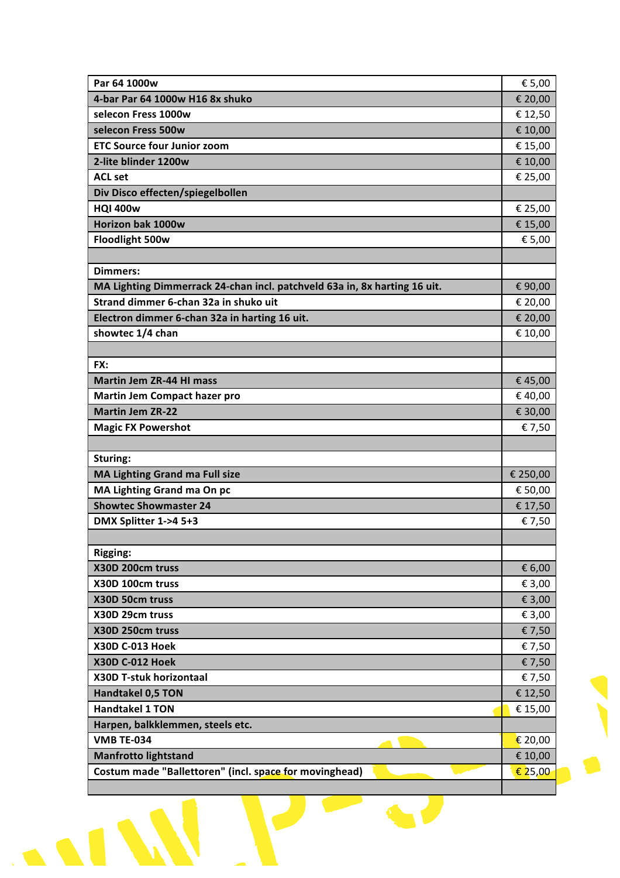| Par 64 1000w                                                              | € 5,00   |
|---------------------------------------------------------------------------|----------|
| 4-bar Par 64 1000w H16 8x shuko                                           | € 20,00  |
| selecon Fress 1000w                                                       | € 12,50  |
| selecon Fress 500w                                                        | € 10,00  |
| <b>ETC Source four Junior zoom</b>                                        | € 15,00  |
| 2-lite blinder 1200w                                                      | € 10,00  |
| <b>ACL set</b>                                                            | € 25,00  |
| Div Disco effecten/spiegelbollen                                          |          |
| <b>HQI 400w</b>                                                           | € 25,00  |
| Horizon bak 1000w                                                         | € 15,00  |
| Floodlight 500w                                                           | € 5,00   |
|                                                                           |          |
| <b>Dimmers:</b>                                                           |          |
| MA Lighting Dimmerrack 24-chan incl. patchveld 63a in, 8x harting 16 uit. | € 90,00  |
| Strand dimmer 6-chan 32a in shuko uit                                     | € 20,00  |
| Electron dimmer 6-chan 32a in harting 16 uit.                             | € 20,00  |
| showtec 1/4 chan                                                          | € 10,00  |
|                                                                           |          |
| FX:                                                                       |          |
| <b>Martin Jem ZR-44 HI mass</b>                                           | €45,00   |
| <b>Martin Jem Compact hazer pro</b>                                       | €40,00   |
| <b>Martin Jem ZR-22</b>                                                   | € 30,00  |
| <b>Magic FX Powershot</b>                                                 | € 7,50   |
|                                                                           |          |
| Sturing:                                                                  |          |
| MA Lighting Grand ma Full size                                            | € 250,00 |
| MA Lighting Grand ma On pc                                                | € 50,00  |
| <b>Showtec Showmaster 24</b>                                              | € 17,50  |
| DMX Splitter 1->4 5+3                                                     | € 7,50   |
|                                                                           |          |
| <b>Rigging:</b>                                                           |          |
| X30D 200cm truss                                                          | € 6,00   |
| X30D 100cm truss                                                          | € 3,00   |
| X30D 50cm truss                                                           | € 3,00   |
| X30D 29cm truss                                                           | € 3,00   |
| X30D 250cm truss                                                          | € 7,50   |
| <b>X30D C-013 Hoek</b>                                                    | € 7,50   |
| <b>X30D C-012 Hoek</b>                                                    | € 7,50   |
| X30D T-stuk horizontaal                                                   | € 7,50   |
| <b>Handtakel 0,5 TON</b>                                                  | € 12,50  |
| <b>Handtakel 1 TON</b>                                                    | € 15,00  |
| Harpen, balkklemmen, steels etc.                                          |          |
| <b>VMB TE-034</b>                                                         | € 20,00  |
|                                                                           |          |
| <b>Manfrotto lightstand</b>                                               | € 10,00  |

 $\frac{1}{2}$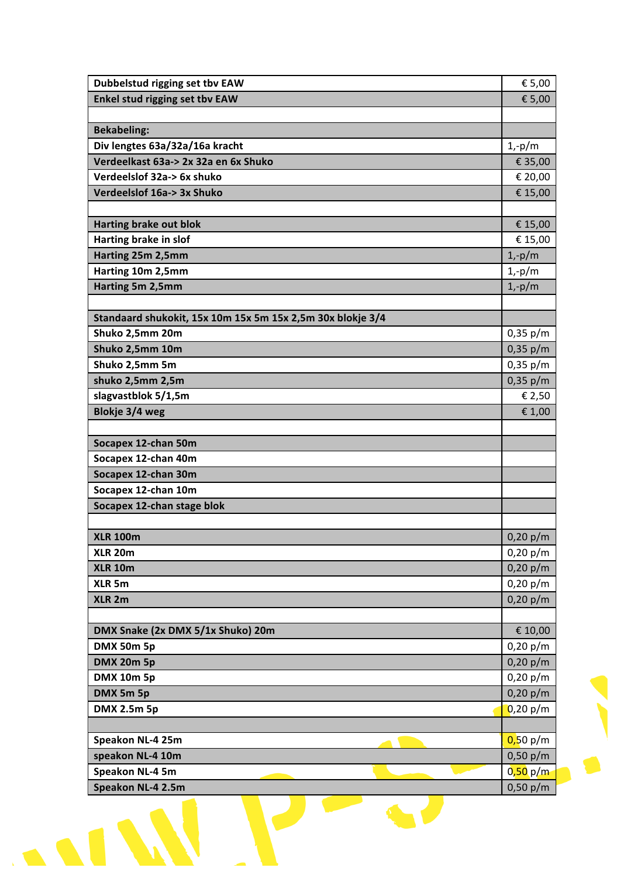| Dubbelstud rigging set tbv EAW                             | € 5,00   |
|------------------------------------------------------------|----------|
| Enkel stud rigging set tbv EAW                             | € 5,00   |
|                                                            |          |
| <b>Bekabeling:</b>                                         |          |
| Div lengtes 63a/32a/16a kracht                             | $1,-p/m$ |
| Verdeelkast 63a-> 2x 32a en 6x Shuko                       | € 35,00  |
| Verdeelslof 32a-> 6x shuko                                 | € 20,00  |
| Verdeelslof 16a-> 3x Shuko                                 | € 15,00  |
|                                                            |          |
| <b>Harting brake out blok</b>                              | € 15,00  |
| Harting brake in slof                                      | € 15,00  |
| Harting 25m 2,5mm                                          | $1,-p/m$ |
| Harting 10m 2,5mm                                          | $1,-p/m$ |
| Harting 5m 2,5mm                                           | $1,-p/m$ |
|                                                            |          |
| Standaard shukokit, 15x 10m 15x 5m 15x 2,5m 30x blokje 3/4 |          |
| Shuko 2,5mm 20m                                            | 0,35 p/m |
| Shuko 2,5mm 10m                                            | 0,35 p/m |
| Shuko 2,5mm 5m                                             | 0,35 p/m |
| shuko 2,5mm 2,5m                                           | 0,35 p/m |
| slagvastblok 5/1,5m                                        | € 2,50   |
| Blokje 3/4 weg                                             | € 1,00   |
|                                                            |          |
| Socapex 12-chan 50m                                        |          |
| Socapex 12-chan 40m                                        |          |
| Socapex 12-chan 30m                                        |          |
| Socapex 12-chan 10m                                        |          |
| Socapex 12-chan stage blok                                 |          |
|                                                            |          |
| <b>XLR 100m</b>                                            | 0,20 p/m |
| <b>XLR 20m</b>                                             | 0,20 p/m |
| <b>XLR 10m</b>                                             | 0,20 p/m |
| XLR <sub>5m</sub>                                          | 0,20 p/m |
| XLR <sub>2m</sub>                                          | 0,20 p/m |
|                                                            |          |
| DMX Snake (2x DMX 5/1x Shuko) 20m                          | € 10,00  |
| <b>DMX 50m 5p</b>                                          | 0,20 p/m |
| <b>DMX 20m 5p</b>                                          | 0,20 p/m |
| <b>DMX 10m 5p</b>                                          | 0,20 p/m |
| DMX 5m 5p                                                  | 0,20 p/m |
| DMX 2.5m 5p                                                | 0,20 p/m |
|                                                            |          |
| Speakon NL-4 25m                                           | 0,50 p/m |
| speakon NL-4 10m                                           | 0,50 p/m |
| Speakon NL-4 5m                                            | 0,50 p/m |
| Speakon NL-4 2.5m                                          | 0,50 p/m |